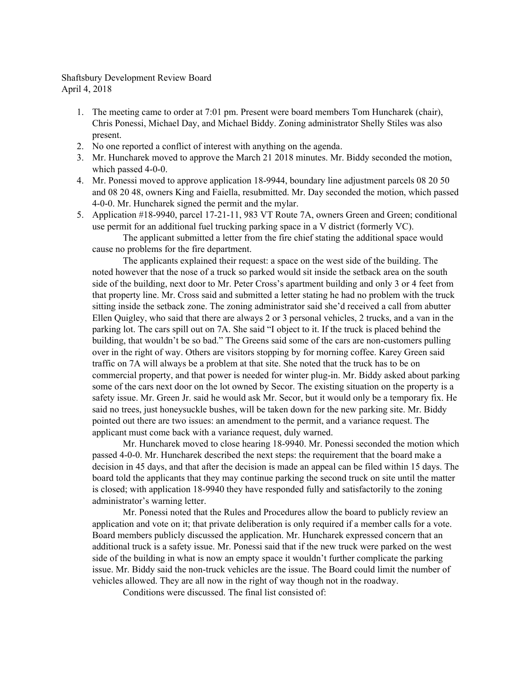Shaftsbury Development Review Board April 4, 2018

- 1. The meeting came to order at 7:01 pm. Present were board members Tom Huncharek (chair), Chris Ponessi, Michael Day, and Michael Biddy. Zoning administrator Shelly Stiles was also present.
- 2. No one reported a conflict of interest with anything on the agenda.
- 3. Mr. Huncharek moved to approve the March 21 2018 minutes. Mr. Biddy seconded the motion, which passed 4-0-0.
- 4. Mr. Ponessi moved to approve application 18-9944, boundary line adjustment parcels 08 20 50 and 08 20 48, owners King and Faiella, resubmitted. Mr. Day seconded the motion, which passed 4-0-0. Mr. Huncharek signed the permit and the mylar.
- 5. Application #18-9940, parcel 17-21-11, 983 VT Route 7A, owners Green and Green; conditional use permit for an additional fuel trucking parking space in a V district (formerly VC).

The applicant submitted a letter from the fire chief stating the additional space would cause no problems for the fire department.

The applicants explained their request: a space on the west side of the building. The noted however that the nose of a truck so parked would sit inside the setback area on the south side of the building, next door to Mr. Peter Cross's apartment building and only 3 or 4 feet from that property line. Mr. Cross said and submitted a letter stating he had no problem with the truck sitting inside the setback zone. The zoning administrator said she'd received a call from abutter Ellen Quigley, who said that there are always 2 or 3 personal vehicles, 2 trucks, and a van in the parking lot. The cars spill out on 7A. She said "I object to it. If the truck is placed behind the building, that wouldn't be so bad." The Greens said some of the cars are non-customers pulling over in the right of way. Others are visitors stopping by for morning coffee. Karey Green said traffic on 7A will always be a problem at that site. She noted that the truck has to be on commercial property, and that power is needed for winter plug-in. Mr. Biddy asked about parking some of the cars next door on the lot owned by Secor. The existing situation on the property is a safety issue. Mr. Green Jr. said he would ask Mr. Secor, but it would only be a temporary fix. He said no trees, just honeysuckle bushes, will be taken down for the new parking site. Mr. Biddy pointed out there are two issues: an amendment to the permit, and a variance request. The applicant must come back with a variance request, duly warned.

Mr. Huncharek moved to close hearing 18-9940. Mr. Ponessi seconded the motion which passed 4-0-0. Mr. Huncharek described the next steps: the requirement that the board make a decision in 45 days, and that after the decision is made an appeal can be filed within 15 days. The board told the applicants that they may continue parking the second truck on site until the matter is closed; with application 18-9940 they have responded fully and satisfactorily to the zoning administrator's warning letter.

Mr. Ponessi noted that the Rules and Procedures allow the board to publicly review an application and vote on it; that private deliberation is only required if a member calls for a vote. Board members publicly discussed the application. Mr. Huncharek expressed concern that an additional truck is a safety issue. Mr. Ponessi said that if the new truck were parked on the west side of the building in what is now an empty space it wouldn't further complicate the parking issue. Mr. Biddy said the non-truck vehicles are the issue. The Board could limit the number of vehicles allowed. They are all now in the right of way though not in the roadway.

Conditions were discussed. The final list consisted of: